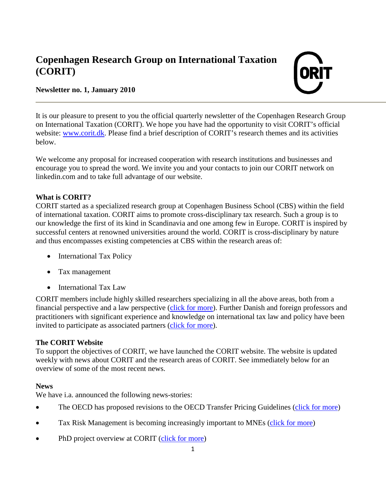# **Copenhagen Research Group on International Taxation (CORIT)**



## **Newsletter no. 1, January 2010**

It is our pleasure to present to you the official quarterly newsletter of the Copenhagen Research Group on International Taxation (CORIT). We hope you have had the opportunity to visit CORIT's official website: [www.corit.dk.](http://corit.dk/) Please find a brief description of CORIT's research themes and its activities below.

We welcome any proposal for increased cooperation with research institutions and businesses and encourage you to spread the word. We invite you and your contacts to join our CORIT network on linkedin.com and to take full advantage of our website.

# **What is CORIT?**

CORIT started as a specialized research group at Copenhagen Business School (CBS) within the field of international taxation. CORIT aims to promote cross-disciplinary tax research. Such a group is to our knowledge the first of its kind in Scandinavia and one among few in Europe. CORIT is inspired by successful centers at renowned universities around the world. CORIT is cross-disciplinary by nature and thus encompasses existing competencies at CBS within the research areas of:

- International Tax Policy
- Tax management
- International Tax Law

CORIT members include highly skilled researchers specializing in all the above areas, both from a financial perspective and a law perspective [\(click for more\)](http://corit.dk/?getpage=3). Further Danish and foreign professors and practitioners with significant experience and knowledge on international tax law and policy have been invited to participate as associated partners [\(click for more\)](http://corit.dk/?getpage=6).

#### **The CORIT Website**

To support the objectives of CORIT, we have launched the CORIT website. The website is updated weekly with news about CORIT and the research areas of CORIT. See immediately below for an overview of some of the most recent news.

#### **News**

We have i.a. announced the following news-stories:

- The OECD has proposed revisions to the OECD Transfer Pricing Guidelines [\(click for more\)](http://corit.dk/?getpage=4&getnews=17)
- Tax Risk Management is becoming increasingly important to MNEs [\(click for more\)](http://corit.dk/?getpage=4&getnews=19)
- PhD project overview at CORIT [\(click for more\)](http://corit.dk/?getpage=4&getnews=32)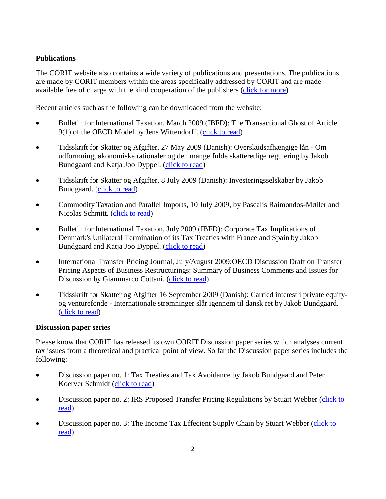## **Publications**

The CORIT website also contains a wide variety of publications and presentations. The publications are made by CORIT members within the areas specifically addressed by CORIT and are made available free of charge with the kind cooperation of the publishers [\(click for more\)](http://corit.dk/?getpage=5).

Recent articles such as the following can be downloaded from the website:

- Bulletin for International Taxation, March 2009 (IBFD): The Transactional Ghost of Article 9(1) of the OECD Model by Jens Wittendorff. [\(click to read\)](http://corit.dk/login/spaw2/uploads/files/JW%20art%20%209.pdf)
- Tidsskrift for Skatter og Afgifter, 27 May 2009 (Danish): Overskudsafhængige lån Om udformning, økonomiske rationaler og den mangelfulde skatteretlige regulering by Jakob Bundgaard and Katja Joo Dyppel. [\(click to read\)](http://corit.dk/login/spaw2/uploads/files/PPL-TfS.pdf)
- Tidsskrift for Skatter og Afgifter, 8 July 2009 (Danish): Investeringsselskaber by Jakob Bundgaard. [\(click to read\)](http://corit.dk/login/spaw2/uploads/files/TfS%202009%20567.pdf)
- Commodity Taxation and Parallel Imports, 10 July 2009, by Pascalis Raimondos-Møller and Nicolas Schmitt. [\(click to read\)](http://corit.dk/login/spaw2/uploads/files/revision_prm_ns.pdf)
- Bulletin for International Taxation, July 2009 (IBFD): Corporate Tax Implications of Denmark's Unilateral Termination of its Tax Treaties with France and Spain by Jakob Bundgaard and Katja Joo Dyppel. [\(click to read\)](http://corit.dk/login/spaw2/uploads/files/bifd070904.pdf)
- International Transfer Pricing Journal, July/August 2009:OECD Discussion Draft on Transfer Pricing Aspects of Business Restructurings: Summary of Business Comments and Issues for Discussion by Giammarco Cottani. [\(click to read\)](http://corit.dk/login/spaw2/uploads/files/itpj070308%20GC%20Italy%20Abuse%20of%20Law.pdf)
- Tidsskrift for Skatter og Afgifter 16 September 2009 (Danish): Carried interest i private equityog venturefonde - Internationale strømninger slår igennem til dansk ret by Jakob Bundgaard. [\(click to read\)](http://corit.dk/login/spaw2/uploads/files/TfS%202009%20836%20-%20Carried%20interest%20i%20private%20equity-%20og%20venturefonde.pdf)

#### **Discussion paper series**

Please know that CORIT has released its own CORIT Discussion paper series which analyses current tax issues from a theoretical and practical point of view. So far the Discussion paper series includes the following:

- Discussion paper no. 1: Tax Treaties and Tax Avoidance by Jakob Bundgaard and Peter Koerver Schmidt [\(click to read\)](http://corit.dk/login/spaw2/uploads/files/Tax%20treaties%20and%20tax%20Avoidance%20CORIT.pdf)
- Discussion paper no. 2: IRS Proposed Transfer Pricing Regulations by Stuart Webber (click to [read\)](http://corit.dk/login/spaw2/uploads/files/IRS%20Cost%20Sharing%20Regulations%202%201%20version%202.pdf)
- Discussion paper no. 3: The Income Tax Effecient Supply Chain by Stuart Webber (click to [read\)](http://corit.dk/login/spaw2/uploads/files/The%20Income%20Tax%20Efficient%20Supply%20Chain%204%200.pdf)